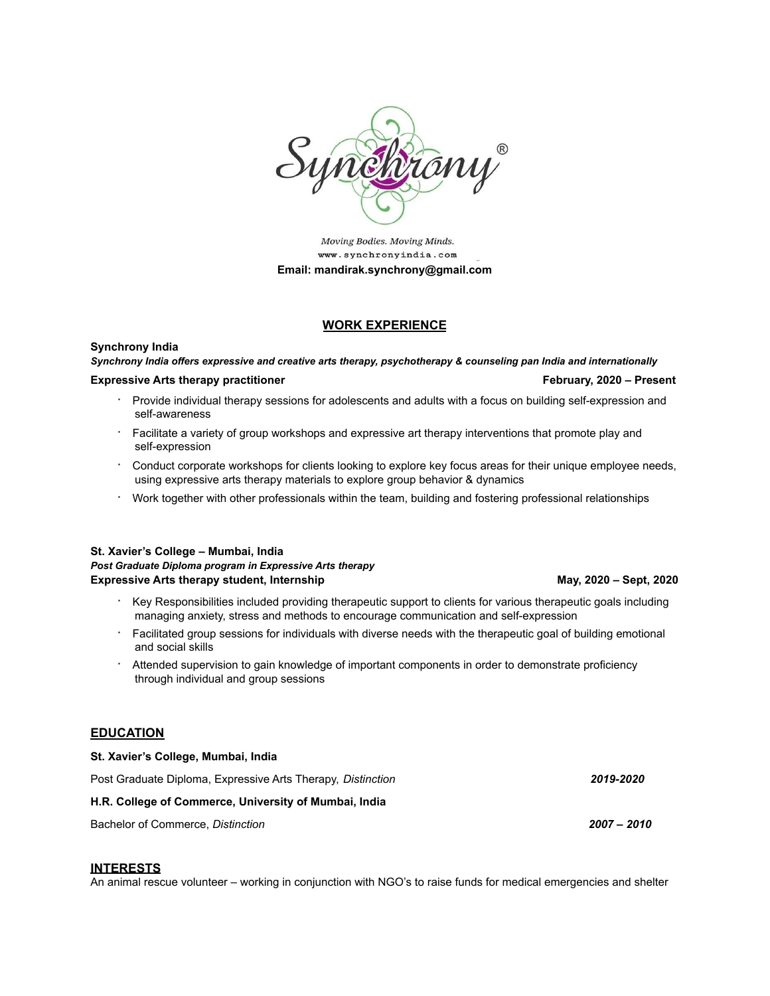

Moving Bodies. Moving Minds. www.synchronyindia.com **Email: mandirak.synchrony@gmail.com**

# **WORK EXPERIENCE**

## **Synchrony India**

*Synchrony India offers expressive and creative arts therapy, psychotherapy & counseling pan India and internationally*

# **Expressive Arts therapy practitioner February, 2020 – Present**

- · Provide individual therapy sessions for adolescents and adults with a focus on building self-expression and self-awareness
- · Facilitate a variety of group workshops and expressive art therapy interventions that promote play and self-expression
- · Conduct corporate workshops for clients looking to explore key focus areas for their unique employee needs, using expressive arts therapy materials to explore group behavior & dynamics
- · Work together with other professionals within the team, building and fostering professional relationships

### **St. Xavier's College – Mumbai, India** *Post Graduate Diploma program in Expressive Arts therapy* **Expressive Arts therapy student, Internship May, 2020 – Sept, 2020 – Sept, 2020**

- · Key Responsibilities included providing therapeutic support to clients for various therapeutic goals including managing anxiety, stress and methods to encourage communication and self-expression
- · Facilitated group sessions for individuals with diverse needs with the therapeutic goal of building emotional and social skills
- Attended supervision to gain knowledge of important components in order to demonstrate proficiency through individual and group sessions

# **EDUCATION**

| Post Graduate Diploma, Expressive Arts Therapy, Distinction | 2019-2020 |
|-------------------------------------------------------------|-----------|
| H.R. College of Commerce, University of Mumbai, India       |           |

Bachelor of Commerce, *Distinction 2007 – 2010*

**St. Xavier's College, Mumbai, India**

## **INTERESTS**

An animal rescue volunteer – working in conjunction with NGO's to raise funds for medical emergencies and shelter